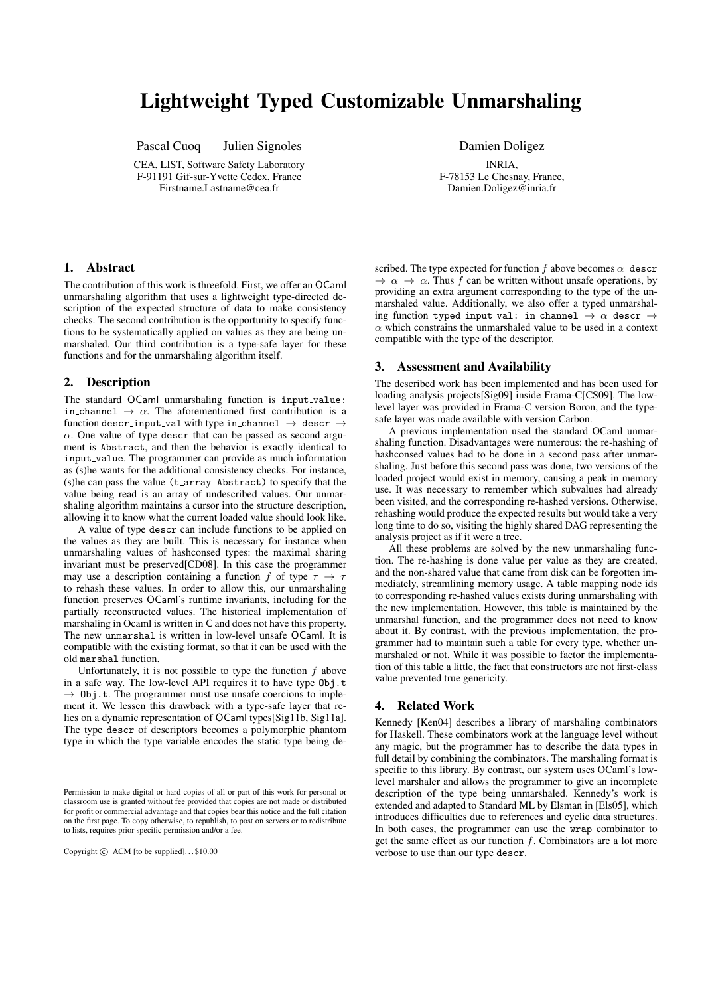# Lightweight Typed Customizable Unmarshaling

Pascal Cuoq Julien Signoles

CEA, LIST, Software Safety Laboratory F-91191 Gif-sur-Yvette Cedex, France Firstname.Lastname@cea.fr

Damien Doligez

INRIA, F-78153 Le Chesnay, France, Damien.Doligez@inria.fr

### 1. Abstract

The contribution of this work is threefold. First, we offer an OCaml unmarshaling algorithm that uses a lightweight type-directed description of the expected structure of data to make consistency checks. The second contribution is the opportunity to specify functions to be systematically applied on values as they are being unmarshaled. Our third contribution is a type-safe layer for these functions and for the unmarshaling algorithm itself.

## 2. Description

The standard OCaml unmarshaling function is input\_value: in channel  $\rightarrow \alpha$ . The aforementioned first contribution is a function descr\_input\_val with type in\_channel  $\rightarrow$  descr  $\rightarrow$  $\alpha$ . One value of type descr that can be passed as second argument is Abstract, and then the behavior is exactly identical to input value. The programmer can provide as much information as (s)he wants for the additional consistency checks. For instance, (s)he can pass the value (t array Abstract) to specify that the value being read is an array of undescribed values. Our unmarshaling algorithm maintains a cursor into the structure description, allowing it to know what the current loaded value should look like.

A value of type descr can include functions to be applied on the values as they are built. This is necessary for instance when unmarshaling values of hashconsed types: the maximal sharing invariant must be preserved[CD08]. In this case the programmer may use a description containing a function f of type  $\tau \to \tau$ to rehash these values. In order to allow this, our unmarshaling function preserves OCaml's runtime invariants, including for the partially reconstructed values. The historical implementation of marshaling in Ocaml is written in C and does not have this property. The new unmarshal is written in low-level unsafe OCaml. It is compatible with the existing format, so that it can be used with the old marshal function.

Unfortunately, it is not possible to type the function  $f$  above in a safe way. The low-level API requires it to have type Obj.t  $\rightarrow$  0bj.t. The programmer must use unsafe coercions to implement it. We lessen this drawback with a type-safe layer that relies on a dynamic representation of OCaml types[Sig11b, Sig11a]. The type descr of descriptors becomes a polymorphic phantom type in which the type variable encodes the static type being de-

Copyright  $\odot$  ACM [to be supplied]...\$10.00

scribed. The type expected for function f above becomes  $\alpha$  descr  $\rightarrow \alpha \rightarrow \alpha$ . Thus f can be written without unsafe operations, by providing an extra argument corresponding to the type of the unmarshaled value. Additionally, we also offer a typed unmarshaling function typed\_input\_val: in\_channel  $\rightarrow \alpha$  descr  $\rightarrow$  $\alpha$  which constrains the unmarshaled value to be used in a context compatible with the type of the descriptor.

#### 3. Assessment and Availability

The described work has been implemented and has been used for loading analysis projects[Sig09] inside Frama-C[CS09]. The lowlevel layer was provided in Frama-C version Boron, and the typesafe layer was made available with version Carbon.

A previous implementation used the standard OCaml unmarshaling function. Disadvantages were numerous: the re-hashing of hashconsed values had to be done in a second pass after unmarshaling. Just before this second pass was done, two versions of the loaded project would exist in memory, causing a peak in memory use. It was necessary to remember which subvalues had already been visited, and the corresponding re-hashed versions. Otherwise, rehashing would produce the expected results but would take a very long time to do so, visiting the highly shared DAG representing the analysis project as if it were a tree.

All these problems are solved by the new unmarshaling function. The re-hashing is done value per value as they are created, and the non-shared value that came from disk can be forgotten immediately, streamlining memory usage. A table mapping node ids to corresponding re-hashed values exists during unmarshaling with the new implementation. However, this table is maintained by the unmarshal function, and the programmer does not need to know about it. By contrast, with the previous implementation, the programmer had to maintain such a table for every type, whether unmarshaled or not. While it was possible to factor the implementation of this table a little, the fact that constructors are not first-class value prevented true genericity.

#### 4. Related Work

Kennedy [Ken04] describes a library of marshaling combinators for Haskell. These combinators work at the language level without any magic, but the programmer has to describe the data types in full detail by combining the combinators. The marshaling format is specific to this library. By contrast, our system uses OCaml's lowlevel marshaler and allows the programmer to give an incomplete description of the type being unmarshaled. Kennedy's work is extended and adapted to Standard ML by Elsman in [Els05], which introduces difficulties due to references and cyclic data structures. In both cases, the programmer can use the wrap combinator to get the same effect as our function  $f$ . Combinators are a lot more verbose to use than our type descr.

Permission to make digital or hard copies of all or part of this work for personal or classroom use is granted without fee provided that copies are not made or distributed for profit or commercial advantage and that copies bear this notice and the full citation on the first page. To copy otherwise, to republish, to post on servers or to redistribute to lists, requires prior specific permission and/or a fee.